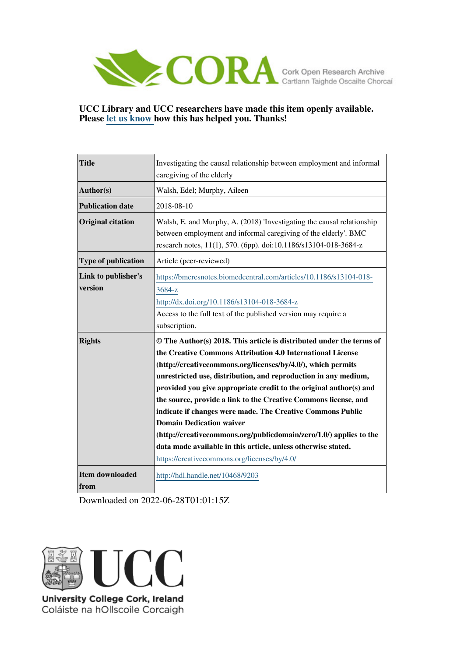

# **UCC Library and UCC researchers have made this item openly available. Please [let us know h](https://libguides.ucc.ie/openaccess/impact?suffix=9203&title=Investigating the causal relationship between employment and informal caregiving of the elderly)ow this has helped you. Thanks!**

| <b>Title</b>                   | Investigating the causal relationship between employment and informal<br>caregiving of the elderly                                                                                                                                                                                                                                                                                                                                                                                                                                                                                                                                                                                                           |  |  |
|--------------------------------|--------------------------------------------------------------------------------------------------------------------------------------------------------------------------------------------------------------------------------------------------------------------------------------------------------------------------------------------------------------------------------------------------------------------------------------------------------------------------------------------------------------------------------------------------------------------------------------------------------------------------------------------------------------------------------------------------------------|--|--|
| Author(s)                      | Walsh, Edel; Murphy, Aileen                                                                                                                                                                                                                                                                                                                                                                                                                                                                                                                                                                                                                                                                                  |  |  |
| <b>Publication date</b>        | 2018-08-10                                                                                                                                                                                                                                                                                                                                                                                                                                                                                                                                                                                                                                                                                                   |  |  |
| <b>Original citation</b>       | Walsh, E. and Murphy, A. (2018) The stigating the causal relationship<br>between employment and informal caregiving of the elderly'. BMC<br>research notes, 11(1), 570. (6pp). doi:10.1186/s13104-018-3684-z                                                                                                                                                                                                                                                                                                                                                                                                                                                                                                 |  |  |
| <b>Type of publication</b>     | Article (peer-reviewed)                                                                                                                                                                                                                                                                                                                                                                                                                                                                                                                                                                                                                                                                                      |  |  |
| Link to publisher's<br>version | https://bmcresnotes.biomedcentral.com/articles/10.1186/s13104-018-<br>3684-z<br>http://dx.doi.org/10.1186/s13104-018-3684-z<br>Access to the full text of the published version may require a<br>subscription.                                                                                                                                                                                                                                                                                                                                                                                                                                                                                               |  |  |
| <b>Rights</b>                  | $\odot$ The Author(s) 2018. This article is distributed under the terms of<br>the Creative Commons Attribution 4.0 International License<br>(http://creativecommons.org/licenses/by/4.0/), which permits<br>unrestricted use, distribution, and reproduction in any medium,<br>provided you give appropriate credit to the original author(s) and<br>the source, provide a link to the Creative Commons license, and<br>indicate if changes were made. The Creative Commons Public<br><b>Domain Dedication waiver</b><br>(http://creativecommons.org/publicdomain/zero/1.0/) applies to the<br>data made available in this article, unless otherwise stated.<br>https://creativecommons.org/licenses/by/4.0/ |  |  |
| <b>Item downloaded</b><br>from | http://hdl.handle.net/10468/9203                                                                                                                                                                                                                                                                                                                                                                                                                                                                                                                                                                                                                                                                             |  |  |

Downloaded on 2022-06-28T01:01:15Z



Coláiste na hOllscoile Corcaigh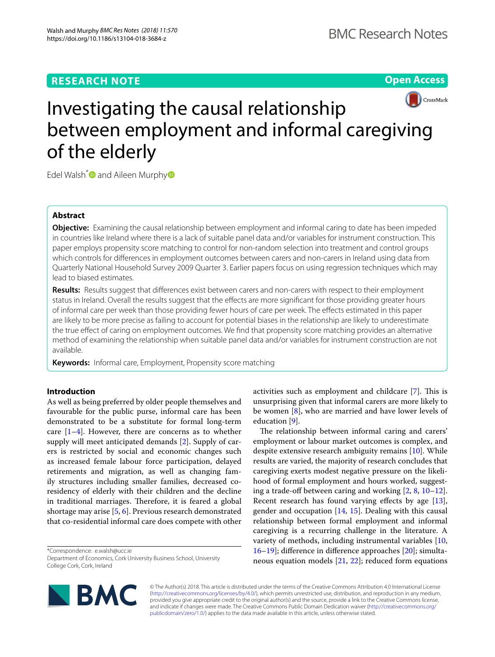## **RESEARCH NOTE**

**Open Access**



# Investigating the causal relationship between employment and informal caregiving of the elderly

Edel Walsh<sup>\*</sup> and Aileen Murph[y](http://orcid.org/0000-0003-3062-0692)<sup>1</sup>

## **Abstract**

**Objective:** Examining the causal relationship between employment and informal caring to date has been impeded in countries like Ireland where there is a lack of suitable panel data and/or variables for instrument construction. This paper employs propensity score matching to control for non-random selection into treatment and control groups which controls for diferences in employment outcomes between carers and non-carers in Ireland using data from Quarterly National Household Survey 2009 Quarter 3. Earlier papers focus on using regression techniques which may lead to biased estimates.

**Results:** Results suggest that diferences exist between carers and non-carers with respect to their employment status in Ireland. Overall the results suggest that the efects are more signifcant for those providing greater hours of informal care per week than those providing fewer hours of care per week. The efects estimated in this paper are likely to be more precise as failing to account for potential biases in the relationship are likely to underestimate the true efect of caring on employment outcomes. We fnd that propensity score matching provides an alternative method of examining the relationship when suitable panel data and/or variables for instrument construction are not available.

**Keywords:** Informal care, Employment, Propensity score matching

## **Introduction**

As well as being preferred by older people themselves and favourable for the public purse, informal care has been demonstrated to be a substitute for formal long-term care  $[1-4]$  $[1-4]$ . However, there are concerns as to whether supply will meet anticipated demands [\[2](#page-5-2)]. Supply of carers is restricted by social and economic changes such as increased female labour force participation, delayed retirements and migration, as well as changing family structures including smaller families, decreased coresidency of elderly with their children and the decline in traditional marriages. Therefore, it is feared a global shortage may arise [[5,](#page-5-3) [6\]](#page-5-4). Previous research demonstrated that co-residential informal care does compete with other

\*Correspondence: e.walsh@ucc.ie



The relationship between informal caring and carers' employment or labour market outcomes is complex, and despite extensive research ambiguity remains [[10\]](#page-5-8). While results are varied, the majority of research concludes that caregiving exerts modest negative pressure on the likelihood of formal employment and hours worked, suggesting a trade-off between caring and working  $[2, 8, 10-12]$  $[2, 8, 10-12]$  $[2, 8, 10-12]$  $[2, 8, 10-12]$  $[2, 8, 10-12]$  $[2, 8, 10-12]$ . Recent research has found varying effects by age [\[13](#page-5-10)], gender and occupation [[14,](#page-5-11) [15\]](#page-5-12). Dealing with this causal relationship between formal employment and informal caregiving is a recurring challenge in the literature. A variety of methods, including instrumental variables [[10](#page-5-8), [16](#page-5-13)[–19](#page-5-14)]; diference in diference approaches [[20\]](#page-5-15); simultaneous equation models [[21](#page-5-16), [22](#page-6-0)]; reduced form equations

© The Author(s) 2018. This article is distributed under the terms of the Creative Commons Attribution 4.0 International License [\(http://creativecommons.org/licenses/by/4.0/\)](http://creativecommons.org/licenses/by/4.0/), which permits unrestricted use, distribution, and reproduction in any medium, provided you give appropriate credit to the original author(s) and the source, provide a link to the Creative Commons license, and indicate if changes were made. The Creative Commons Public Domain Dedication waiver ([http://creativecommons.org/](http://creativecommons.org/publicdomain/zero/1.0/) [publicdomain/zero/1.0/](http://creativecommons.org/publicdomain/zero/1.0/)) applies to the data made available in this article, unless otherwise stated.



Department of Economics, Cork University Business School, University College Cork, Cork, Ireland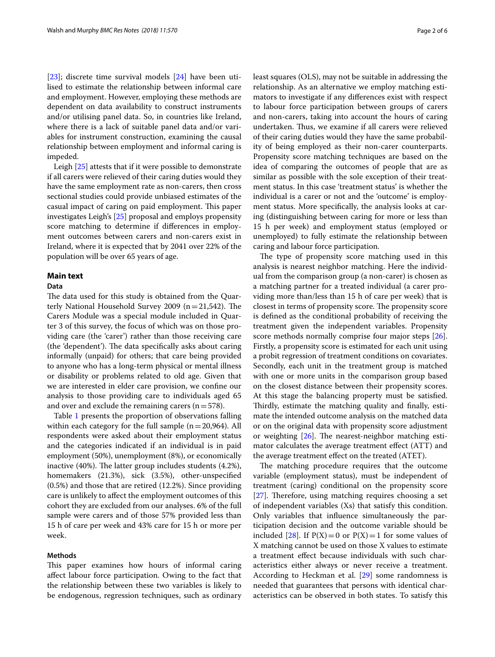[[23\]](#page-6-1); discrete time survival models [[24\]](#page-6-2) have been utilised to estimate the relationship between informal care and employment. However, employing these methods are dependent on data availability to construct instruments and/or utilising panel data. So, in countries like Ireland, where there is a lack of suitable panel data and/or variables for instrument construction, examining the causal relationship between employment and informal caring is impeded.

Leigh [[25\]](#page-6-3) attests that if it were possible to demonstrate if all carers were relieved of their caring duties would they have the same employment rate as non-carers, then cross sectional studies could provide unbiased estimates of the casual impact of caring on paid employment. This paper investigates Leigh's [[25\]](#page-6-3) proposal and employs propensity score matching to determine if diferences in employment outcomes between carers and non-carers exist in Ireland, where it is expected that by 2041 over 22% of the population will be over 65 years of age.

## **Main text**

#### **Data**

The data used for this study is obtained from the Quarterly National Household Survey 2009 ( $n=21,542$ ). The Carers Module was a special module included in Quarter 3 of this survey, the focus of which was on those providing care (the 'carer') rather than those receiving care (the 'dependent'). The data specifically asks about caring informally (unpaid) for others; that care being provided to anyone who has a long-term physical or mental illness or disability or problems related to old age. Given that we are interested in elder care provision, we confne our analysis to those providing care to individuals aged 65 and over and exclude the remaining carers  $(n=578)$ .

Table [1](#page-3-0) presents the proportion of observations falling within each category for the full sample  $(n=20,964)$ . All respondents were asked about their employment status and the categories indicated if an individual is in paid employment (50%), unemployment (8%), or economically inactive  $(40\%)$ . The latter group includes students  $(4.2\%)$ , homemakers (21.3%), sick (3.5%), other-unspecifed (0.5%) and those that are retired (12.2%). Since providing care is unlikely to afect the employment outcomes of this cohort they are excluded from our analyses. 6% of the full sample were carers and of those 57% provided less than 15 h of care per week and 43% care for 15 h or more per week.

### **Methods**

This paper examines how hours of informal caring afect labour force participation. Owing to the fact that the relationship between these two variables is likely to be endogenous, regression techniques, such as ordinary

least squares (OLS), may not be suitable in addressing the relationship. As an alternative we employ matching estimators to investigate if any diferences exist with respect to labour force participation between groups of carers and non-carers, taking into account the hours of caring undertaken. Thus, we examine if all carers were relieved of their caring duties would they have the same probability of being employed as their non-carer counterparts. Propensity score matching techniques are based on the idea of comparing the outcomes of people that are as similar as possible with the sole exception of their treatment status. In this case 'treatment status' is whether the individual is a carer or not and the 'outcome' is employment status. More specifcally, the analysis looks at caring (distinguishing between caring for more or less than 15 h per week) and employment status (employed or unemployed) to fully estimate the relationship between caring and labour force participation.

The type of propensity score matching used in this analysis is nearest neighbor matching. Here the individual from the comparison group (a non-carer) is chosen as a matching partner for a treated individual (a carer providing more than/less than 15 h of care per week) that is closest in terms of propensity score. The propensity score is defned as the conditional probability of receiving the treatment given the independent variables. Propensity score methods normally comprise four major steps [\[26](#page-6-4)]. Firstly, a propensity score is estimated for each unit using a probit regression of treatment conditions on covariates. Secondly, each unit in the treatment group is matched with one or more units in the comparison group based on the closest distance between their propensity scores. At this stage the balancing property must be satisfed. Thirdly, estimate the matching quality and finally, estimate the intended outcome analysis on the matched data or on the original data with propensity score adjustment or weighting  $[26]$  $[26]$ . The nearest-neighbor matching estimator calculates the average treatment efect (ATT) and the average treatment efect on the treated (ATET).

The matching procedure requires that the outcome variable (employment status), must be independent of treatment (caring) conditional on the propensity score  $[27]$  $[27]$ . Therefore, using matching requires choosing a set of independent variables (Xs) that satisfy this condition. Only variables that infuence simultaneously the participation decision and the outcome variable should be included [[28\]](#page-6-6). If  $P(X) = 0$  or  $P(X) = 1$  for some values of X matching cannot be used on those X values to estimate a treatment efect because individuals with such characteristics either always or never receive a treatment. According to Heckman et al. [\[29](#page-6-7)] some randomness is needed that guarantees that persons with identical characteristics can be observed in both states. To satisfy this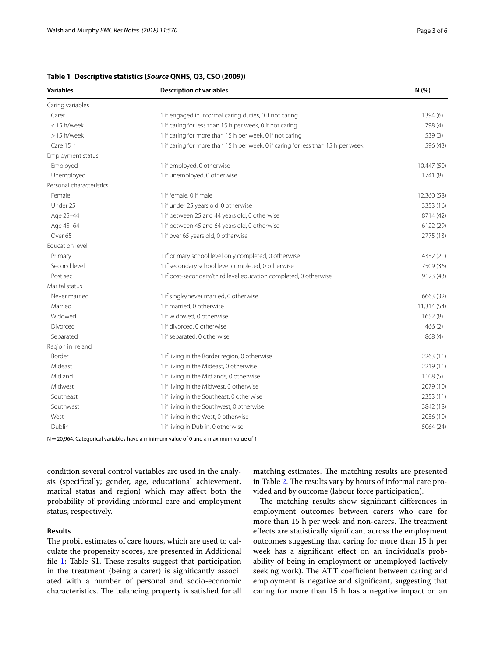<span id="page-3-0"></span>

| <b>Variables</b>         | <b>Description of variables</b>                                                  | N (%)       |
|--------------------------|----------------------------------------------------------------------------------|-------------|
| Caring variables         |                                                                                  |             |
| Carer                    | 1 if engaged in informal caring duties, 0 if not caring                          | 1394(6)     |
| <15 h/week               | 1 if caring for less than 15 h per week, 0 if not caring                         | 798 (4)     |
| >15 h/week               | 1 if caring for more than 15 h per week, 0 if not caring                         | 539(3)      |
| Care 15 h                | 1 if caring for more than 15 h per week, 0 if caring for less than 15 h per week | 596 (43)    |
| Employment status        |                                                                                  |             |
| Employed                 | 1 if employed, 0 otherwise                                                       | 10,447 (50) |
| Unemployed               | 1 if unemployed, 0 otherwise                                                     | 1741(8)     |
| Personal characteristics |                                                                                  |             |
| Female                   | 1 if female, 0 if male                                                           | 12,360 (58) |
| Under 25                 | 1 if under 25 years old, 0 otherwise                                             | 3353 (16)   |
| Age 25-44                | 1 if between 25 and 44 years old, 0 otherwise                                    | 8714 (42)   |
| Age 45-64                | 1 if between 45 and 64 years old, 0 otherwise                                    | 6122 (29)   |
| Over 65                  | 1 if over 65 years old, 0 otherwise                                              | 2775 (13)   |
| Education level          |                                                                                  |             |
| Primary                  | 1 if primary school level only completed, 0 otherwise                            | 4332 (21)   |
| Second level             | 1 if secondary school level completed, 0 otherwise                               | 7509 (36)   |
| Post sec                 | 1 if post-secondary/third level education completed, 0 otherwise                 | 9123 (43)   |
| Marital status           |                                                                                  |             |
| Never married            | 1 if single/never married, 0 otherwise                                           | 6663 (32)   |
| Married                  | 1 if married, 0 otherwise                                                        | 11,314 (54) |
| Widowed                  | 1 if widowed, 0 otherwise                                                        | 1652(8)     |
| Divorced                 | 1 if divorced, 0 otherwise                                                       | 466(2)      |
| Separated                | 1 if separated, 0 otherwise                                                      | 868 (4)     |
| Region in Ireland        |                                                                                  |             |
| Border                   | 1 if living in the Border region, 0 otherwise                                    | 2263 (11)   |
| Mideast                  | 1 if living in the Mideast, 0 otherwise                                          | 2219 (11)   |
| Midland                  | 1 if living in the Midlands, 0 otherwise                                         | 1108(5)     |
| Midwest                  | 1 if living in the Midwest, 0 otherwise                                          | 2079 (10)   |
| Southeast                | 1 if living in the Southeast, 0 otherwise                                        | 2353 (11)   |
| Southwest                | 1 if living in the Southwest, 0 otherwise                                        | 3842 (18)   |
| West                     | 1 if living in the West, 0 otherwise                                             | 2036 (10)   |
| Dublin                   | 1 if living in Dublin, 0 otherwise                                               | 5064 (24)   |

 $N=20,964$ . Categorical variables have a minimum value of 0 and a maximum value of 1

condition several control variables are used in the analysis (specifcally; gender, age, educational achievement, marital status and region) which may afect both the probability of providing informal care and employment status, respectively.

## **Results**

The probit estimates of care hours, which are used to calculate the propensity scores, are presented in Additional file [1:](#page-5-17) Table S1. These results suggest that participation in the treatment (being a carer) is signifcantly associated with a number of personal and socio-economic characteristics. The balancing property is satisfied for all matching estimates. The matching results are presented in Table [2](#page-4-0). The results vary by hours of informal care provided and by outcome (labour force participation).

The matching results show significant differences in employment outcomes between carers who care for more than 15 h per week and non-carers. The treatment efects are statistically signifcant across the employment outcomes suggesting that caring for more than 15 h per week has a signifcant efect on an individual's probability of being in employment or unemployed (actively seeking work). The ATT coefficient between caring and employment is negative and signifcant, suggesting that caring for more than 15 h has a negative impact on an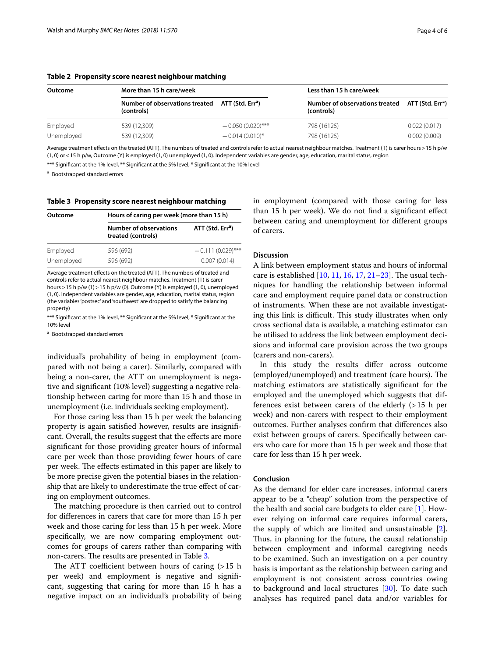| Outcome    | More than 15 h care/week                                                  |                     | Less than 15 h care/week                     |                 |
|------------|---------------------------------------------------------------------------|---------------------|----------------------------------------------|-----------------|
|            | Number of observations treated ATT (Std. Err <sup>a</sup> )<br>(controls) |                     | Number of observations treated<br>(controls) | ATT (Std. Err*) |
| Employed   | 539 (12,309)                                                              | $-0.050(0.020)$ *** | 798 (16125)                                  | 0.022(0.017)    |
| Unemployed | 539 (12,309)                                                              | $-0.014(0.010)^{*}$ | 798 (16125)                                  | 0.002(0.009)    |

#### <span id="page-4-0"></span>**Table 2 Propensity score nearest neighbour matching**

Average treatment effects on the treated (ATT). The numbers of treated and controls refer to actual nearest neighbour matches. Treatment (T) is carer hours > 15 h p/w (1, 0) or<15 h p/w, Outcome (Y) is employed (1, 0) unemployed (1, 0). Independent variables are gender, age, education, marital status, region

\*\*\* Signifcant at the 1% level, \*\* Signifcant at the 5% level, \* Signifcant at the 10% level

<sup>a</sup> Bootstrapped standard errors

<span id="page-4-1"></span>**Table 3 Propensity score nearest neighbour matching**

| Outcome    | Hours of caring per week (more than 15 h)    |                              |  |  |
|------------|----------------------------------------------|------------------------------|--|--|
|            | Number of observations<br>treated (controls) | ATT (Std. Err <sup>a</sup> ) |  |  |
| Employed   | 596 (692)                                    | $-0.111(0.029)$ ***          |  |  |
| Unemployed | 596 (692)                                    | 0.007(0.014)                 |  |  |

Average treatment effects on the treated (ATT). The numbers of treated and controls refer to actual nearest neighbour matches. Treatment (T) is carer hours>15 h p/w (1)>15 h p/w (0). Outcome (Y) is employed (1, 0), unemployed (1, 0). Independent variables are gender, age, education, marital status, region (the variables 'postsec' and 'southwest' are dropped to satisfy the balancing property)

\*\*\* Signifcant at the 1% level, \*\* Signifcant at the 5% level, \* Signifcant at the 10% level

<sup>a</sup> Bootstrapped standard errors

individual's probability of being in employment (compared with not being a carer). Similarly, compared with being a non-carer, the ATT on unemployment is negative and signifcant (10% level) suggesting a negative relationship between caring for more than 15 h and those in unemployment (i.e. individuals seeking employment).

For those caring less than 15 h per week the balancing property is again satisfed however, results are insignifcant. Overall, the results suggest that the efects are more signifcant for those providing greater hours of informal care per week than those providing fewer hours of care per week. The effects estimated in this paper are likely to be more precise given the potential biases in the relationship that are likely to underestimate the true effect of caring on employment outcomes.

The matching procedure is then carried out to control for diferences in carers that care for more than 15 h per week and those caring for less than 15 h per week. More specifcally, we are now comparing employment outcomes for groups of carers rather than comparing with non-carers. The results are presented in Table [3](#page-4-1).

The ATT coefficient between hours of caring  $(>15$  h per week) and employment is negative and signifcant, suggesting that caring for more than 15 h has a negative impact on an individual's probability of being in employment (compared with those caring for less than 15 h per week). We do not fnd a signifcant efect between caring and unemployment for diferent groups of carers.

#### **Discussion**

A link between employment status and hours of informal care is established  $[10, 11, 16, 17, 21–23]$  $[10, 11, 16, 17, 21–23]$  $[10, 11, 16, 17, 21–23]$  $[10, 11, 16, 17, 21–23]$  $[10, 11, 16, 17, 21–23]$  $[10, 11, 16, 17, 21–23]$  $[10, 11, 16, 17, 21–23]$  $[10, 11, 16, 17, 21–23]$  $[10, 11, 16, 17, 21–23]$ . The usual techniques for handling the relationship between informal care and employment require panel data or construction of instruments. When these are not available investigating this link is difficult. This study illustrates when only cross sectional data is available, a matching estimator can be utilised to address the link between employment decisions and informal care provision across the two groups (carers and non-carers).

In this study the results difer across outcome (employed/unemployed) and treatment (care hours). The matching estimators are statistically signifcant for the employed and the unemployed which suggests that differences exist between carers of the elderly (>15 h per week) and non-carers with respect to their employment outcomes. Further analyses confrm that diferences also exist between groups of carers. Specifcally between carers who care for more than 15 h per week and those that care for less than 15 h per week.

### **Conclusion**

As the demand for elder care increases, informal carers appear to be a "cheap" solution from the perspective of the health and social care budgets to elder care [\[1](#page-5-0)]. However relying on informal care requires informal carers, the supply of which are limited and unsustainable [\[2](#page-5-2)]. Thus, in planning for the future, the causal relationship between employment and informal caregiving needs to be examined. Such an investigation on a per country basis is important as the relationship between caring and employment is not consistent across countries owing to background and local structures [\[30\]](#page-6-8). To date such analyses has required panel data and/or variables for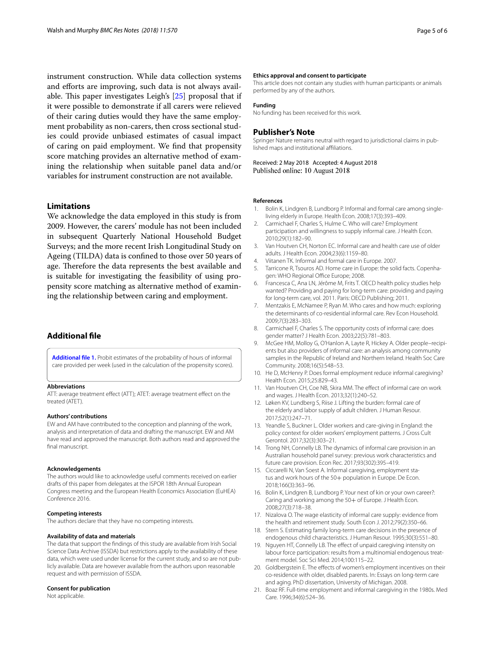instrument construction. While data collection systems and efforts are improving, such data is not always available. This paper investigates Leigh's  $[25]$  $[25]$  $[25]$  proposal that if it were possible to demonstrate if all carers were relieved of their caring duties would they have the same employment probability as non-carers, then cross sectional studies could provide unbiased estimates of casual impact of caring on paid employment. We fnd that propensity score matching provides an alternative method of examining the relationship when suitable panel data and/or variables for instrument construction are not available.

## **Limitations**

We acknowledge the data employed in this study is from 2009. However, the carers' module has not been included in subsequent Quarterly National Household Budget Surveys; and the more recent Irish Longitudinal Study on Ageing (TILDA) data is confned to those over 50 years of age. Therefore the data represents the best available and is suitable for investigating the feasibility of using propensity score matching as alternative method of examining the relationship between caring and employment.

## **Additional fle**

<span id="page-5-17"></span>**[Additional fle 1.](https://doi.org/10.1186/s13104-018-3684-z)** Probit estimates of the probability of hours of informal care provided per week (used in the calculation of the propensity scores).

#### **Abbreviations**

ATT: average treatment effect (ATT); ATET: average treatment effect on the treated (ATET).

#### **Authors' contributions**

EW and AM have contributed to the conception and planning of the work, analysis and interpretation of data and drafting the manuscript. EW and AM have read and approved the manuscript. Both authors read and approved the final manuscript.

#### **Acknowledgements**

The authors would like to acknowledge useful comments received on earlier drafts of this paper from delegates at the ISPOR 18th Annual European Congress meeting and the European Health Economics Association (EuHEA) Conference 2016.

#### **Competing interests**

The authors declare that they have no competing interests.

#### **Availability of data and materials**

The data that support the fndings of this study are available from Irish Social Science Data Archive (ISSDA) but restrictions apply to the availability of these data, which were used under license for the current study, and so are not publicly available. Data are however available from the authors upon reasonable request and with permission of ISSDA.

#### **Consent for publication**

Not applicable.

#### **Ethics approval and consent to participate**

This article does not contain any studies with human participants or animals performed by any of the authors.

#### **Funding**

No funding has been received for this work.

## **Publisher's Note**

Springer Nature remains neutral with regard to jurisdictional claims in published maps and institutional affiliations.

Received: 2 May 2018 Accepted: 4 August 2018 Published online: 10 August 2018

#### **References**

- <span id="page-5-0"></span>1. Bolin K, Lindgren B, Lundborg P. Informal and formal care among singleliving elderly in Europe. Health Econ. 2008;17(3):393–409.
- <span id="page-5-2"></span>2. Carmichael F, Charles S, Hulme C. Who will care? Employment participation and willingness to supply informal care. J Health Econ. 2010;29(1):182–90.
- 3. Van Houtven CH, Norton EC. Informal care and health care use of older adults. J Health Econ. 2004;23(6):1159–80.
- <span id="page-5-1"></span>4. Viitanen TK. Informal and formal care in Europe. 2007.
- <span id="page-5-3"></span>5. Tarricone R, Tsouros AD. Home care in Europe: the solid facts. Copenhagen: WHO Regional Office Europe; 2008.
- <span id="page-5-4"></span>6. Francesca C, Ana LN, Jérôme M, Frits T. OECD health policy studies help wanted? Providing and paying for long-term care: providing and paying for long-term care, vol. 2011. Paris: OECD Publishing; 2011.
- <span id="page-5-5"></span>7. Mentzakis E, McNamee P, Ryan M. Who cares and how much: exploring the determinants of co-residential informal care. Rev Econ Household. 2009;7(3):283–303.
- <span id="page-5-6"></span>8. Carmichael F, Charles S. The opportunity costs of informal care: does gender matter? J Health Econ. 2003;22(5):781–803.
- <span id="page-5-7"></span>9. McGee HM, Molloy G, O'Hanlon A, Layte R, Hickey A. Older people–recipients but also providers of informal care: an analysis among community samples in the Republic of Ireland and Northern Ireland. Health Soc Care Community. 2008;16(5):548–53.
- <span id="page-5-8"></span>10. He D, McHenry P. Does formal employment reduce informal caregiving? Health Econ. 2015;25:829–43.
- <span id="page-5-18"></span>11. Van Houtven CH, Coe NB, Skira MM. The effect of informal care on work and wages. J Health Econ. 2013;32(1):240–52.
- <span id="page-5-9"></span>12. Løken KV, Lundberg S, Riise J. Lifting the burden: formal care of the elderly and labor supply of adult children. J Human Resour. 2017;52(1):247–71.
- <span id="page-5-10"></span>13. Yeandle S, Buckner L. Older workers and care-giving in England: the policy context for older workers' employment patterns. J Cross Cult Gerontol. 2017;32(3):303–21.
- <span id="page-5-11"></span>14. Trong NH, Connelly LB. The dynamics of informal care provision in an Australian household panel survey: previous work characteristics and future care provision. Econ Rec. 2017;93(302):395–419.
- <span id="page-5-12"></span>15. Ciccarelli N, Van Soest A. Informal caregiving, employment status and work hours of the 50+ population in Europe. De Econ. 2018;166(3):363–96.
- <span id="page-5-13"></span>16. Bolin K, Lindgren B, Lundborg P. Your next of kin or your own career?: Caring and working among the 50+ of Europe. J Health Econ. 2008;27(3):718–38.
- <span id="page-5-19"></span>17. Nizalova O. The wage elasticity of informal care supply: evidence from the health and retirement study. South Econ J. 2012;79(2):350–66.
- 18. Stern S. Estimating family long-term care decisions in the presence of endogenous child characteristics. J Human Resour. 1995;30(3):551–80.
- <span id="page-5-14"></span>19. Nguyen HT, Connelly LB. The effect of unpaid caregiving intensity on labour force participation: results from a multinomial endogenous treatment model. Soc Sci Med. 2014;100:115–22.
- <span id="page-5-15"></span>20. Goldbergstein E. The effects of women's employment incentives on their co-residence with older, disabled parents. In: Essays on long-term care and aging. PhD dissertation, University of Michigan. 2008.
- <span id="page-5-16"></span>21. Boaz RF. Full-time employment and informal caregiving in the 1980s. Med Care. 1996;34(6):524–36.